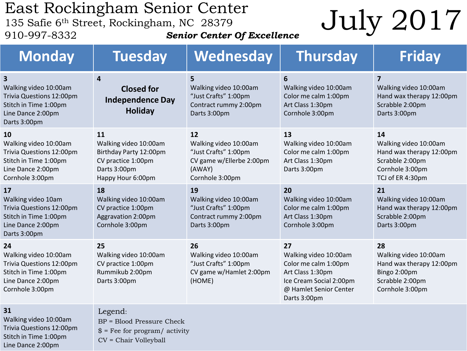## East Rockingham Senior Center<br>135 Safie 6<sup>th</sup> Street, Rockingham, NC 28379

*Senior Center Of Excellence*

# $\frac{1}{135}$  Safie 6<sup>th</sup> Street, Rockingham, NC 28379<br>910-997-8332<br>**Senior Center Of Excellence**<br>**Senior Center Of Excellence**

| <b>Monday</b>                                                                                                                              | <b>Tuesday</b>                                                                                                   | Wednesday                                                                                                    | <b>Thursday</b>                                                                                                                              | <b>Friday</b>                                                                                                     |
|--------------------------------------------------------------------------------------------------------------------------------------------|------------------------------------------------------------------------------------------------------------------|--------------------------------------------------------------------------------------------------------------|----------------------------------------------------------------------------------------------------------------------------------------------|-------------------------------------------------------------------------------------------------------------------|
| $\overline{\mathbf{3}}$<br>Walking video 10:00am<br>Trivia Questions 12:00pm<br>Stitch in Time 1:00pm<br>Line Dance 2:00pm<br>Darts 3:00pm | 4<br><b>Closed for</b><br><b>Independence Day</b><br><b>Holiday</b>                                              | 5<br>Walking video 10:00am<br>"Just Crafts" 1:00pm<br>Contract rummy 2:00pm<br>Darts 3:00pm                  | 6<br>Walking video 10:00am<br>Color me calm 1:00pm<br>Art Class 1:30pm<br>Cornhole 3:00pm                                                    | $\overline{\mathbf{z}}$<br>Walking video 10:00am<br>Hand wax therapy 12:00pm<br>Scrabble 2:00pm<br>Darts 3:00pm   |
| 10<br>Walking video 10:00am<br>Trivia Questions 12:00pm<br>Stitch in Time 1:00pm<br>Line Dance 2:00pm<br>Cornhole 3:00pm                   | 11<br>Walking video 10:00am<br>Birthday Party 12:00pm<br>CV practice 1:00pm<br>Darts 3:00pm<br>Happy Hour 6:00pm | 12<br>Walking video 10:00am<br>"Just Crafts" 1:00pm<br>CV game w/Ellerbe 2:00pm<br>(AWAY)<br>Cornhole 3:00pm | 13<br>Walking video 10:00am<br>Color me calm 1:00pm<br>Art Class 1:30pm<br>Darts 3:00pm                                                      | 14<br>Walking video 10:00am<br>Hand wax therapy 12:00pm<br>Scrabble 2:00pm<br>Cornhole 3:00pm<br>TCJ of ER 4:30pm |
| 17<br>Walking video 10am<br>Trivia Questions 12:00pm<br>Stitch in Time 1:00pm<br>Line Dance 2:00pm<br>Darts 3:00pm                         | 18<br>Walking video 10:00am<br>CV practice 1:00pm<br>Aggravation 2:00pm<br>Cornhole 3:00pm                       | 19<br>Walking video 10:00am<br>"Just Crafts" 1:00pm<br>Contract rummy 2:00pm<br>Darts 3:00pm                 | 20<br>Walking video 10:00am<br>Color me calm 1:00pm<br>Art Class 1:30pm<br>Cornhole 3:00pm                                                   | 21<br>Walking video 10:00am<br>Hand wax therapy 12:00pm<br>Scrabble 2:00pm<br>Darts 3:00pm                        |
| 24<br>Walking video 10:00am<br>Trivia Questions 12:00pm<br>Stitch in Time 1:00pm<br>Line Dance 2:00pm<br>Cornhole 3:00pm                   | 25<br>Walking video 10:00am<br>CV practice 1:00pm<br>Rummikub 2:00pm<br>Darts 3:00pm                             | 26<br>Walking video 10:00am<br>"Just Crafts" 1:00pm<br>CV game w/Hamlet 2:00pm<br>(HOME)                     | 27<br>Walking video 10:00am<br>Color me calm 1:00pm<br>Art Class 1:30pm<br>Ice Cream Social 2:00pm<br>@ Hamlet Senior Center<br>Darts 3:00pm | 28<br>Walking video 10:00am<br>Hand wax therapy 12:00pm<br>Bingo 2:00pm<br>Scrabble 2:00pm<br>Cornhole 3:00pm     |
| 31<br>Walking video 10:00am<br>Trivia Questions 12:00pm<br>Stitch in Time 1:00pm<br>Line Dance 2:00pm                                      | Legend:<br>BP = Blood Pressure Check<br>$$ =$ Fee for program/ activity<br>CV = Chair Volleyball                 |                                                                                                              |                                                                                                                                              |                                                                                                                   |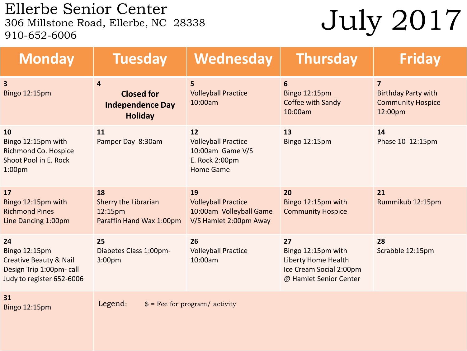Ellerbe Senior Center<br>306 Millstone Road, Ellerbe, NC 28338  $\frac{1}{200}$   $\frac{1}{201}$   $\frac{1}{201}$ <br>306 Millstone Road, Ellerbe, NC 28338<br>910-652-6006

| <b>Monday</b>                                                                                                     | <b>Tuesday</b>                                                      | Wednesday                                                                                  | <b>Thursday</b>                                                                                      | <b>Friday</b>                                                                       |  |
|-------------------------------------------------------------------------------------------------------------------|---------------------------------------------------------------------|--------------------------------------------------------------------------------------------|------------------------------------------------------------------------------------------------------|-------------------------------------------------------------------------------------|--|
| $\overline{\mathbf{3}}$<br><b>Bingo 12:15pm</b>                                                                   | 4<br><b>Closed for</b><br><b>Independence Day</b><br><b>Holiday</b> | 5<br><b>Volleyball Practice</b><br>10:00am                                                 | 6<br><b>Bingo 12:15pm</b><br>Coffee with Sandy<br>10:00am                                            | $\overline{7}$<br><b>Birthday Party with</b><br><b>Community Hospice</b><br>12:00pm |  |
| 10<br>Bingo 12:15pm with<br>Richmond Co. Hospice<br>Shoot Pool in E. Rock<br>1:00 <sub>pm</sub>                   | 11<br>Pamper Day 8:30am                                             | 12<br><b>Volleyball Practice</b><br>10:00am Game V/S<br>E. Rock 2:00pm<br><b>Home Game</b> | 13<br><b>Bingo 12:15pm</b>                                                                           | 14<br>Phase 10 12:15pm                                                              |  |
| 17<br>Bingo 12:15pm with<br><b>Richmond Pines</b><br>Line Dancing 1:00pm                                          | 18<br>Sherry the Librarian<br>12:15pm<br>Paraffin Hand Wax 1:00pm   | 19<br><b>Volleyball Practice</b><br>10:00am Volleyball Game<br>V/S Hamlet 2:00pm Away      | 20<br>Bingo 12:15pm with<br><b>Community Hospice</b>                                                 | 21<br>Rummikub 12:15pm                                                              |  |
| 24<br>Bingo 12:15pm<br><b>Creative Beauty &amp; Nail</b><br>Design Trip 1:00pm- call<br>Judy to register 652-6006 | 25<br>Diabetes Class 1:00pm-<br>3:00 <sub>pm</sub>                  | 26<br><b>Volleyball Practice</b><br>10:00am                                                | 27<br>Bingo 12:15pm with<br>Liberty Home Health<br>Ice Cream Social 2:00pm<br>@ Hamlet Senior Center | 28<br>Scrabble 12:15pm                                                              |  |
| 31<br>Bingo 12:15pm                                                                                               | Legend:<br>$$ =$ Fee for program/ activity                          |                                                                                            |                                                                                                      |                                                                                     |  |